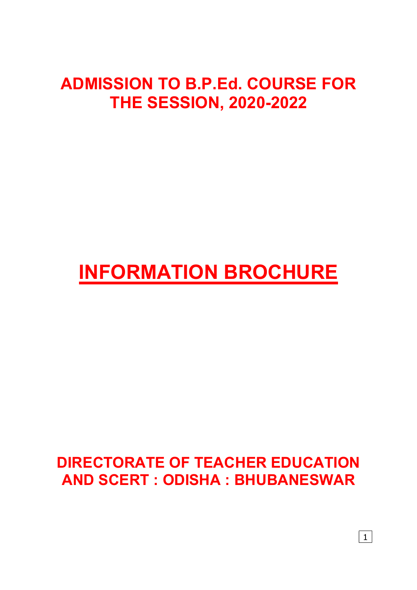## ADMISSION TO B.P.Ed. COURSE FOR THE SESSION, 2020-2022

# INFORMATION BROCHURE

### DIRECTORATE OF TEACHER EDUCATION AND SCERT : ODISHA : BHUBANESWAR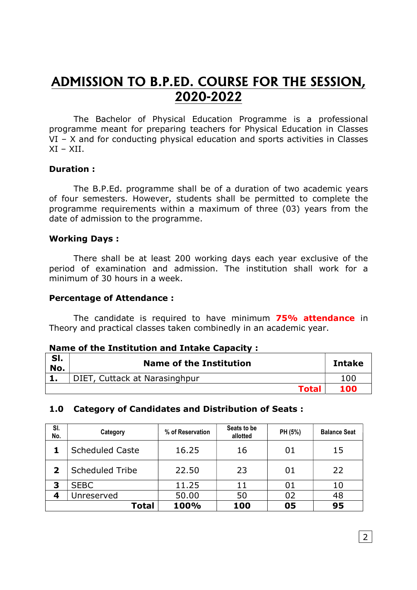### ADMISSION TO B.P.ED. COURSE FOR THE SESSION, 2020-2022

The Bachelor of Physical Education Programme is a professional programme meant for preparing teachers for Physical Education in Classes VI – X and for conducting physical education and sports activities in Classes  $XI - XII$ .

#### Duration :

The B.P.Ed. programme shall be of a duration of two academic years of four semesters. However, students shall be permitted to complete the programme requirements within a maximum of three (03) years from the date of admission to the programme.

#### Working Days :

There shall be at least 200 working days each year exclusive of the period of examination and admission. The institution shall work for a minimum of 30 hours in a week.

#### Percentage of Attendance :

The candidate is required to have minimum 75% attendance in Theory and practical classes taken combinedly in an academic year.

#### Name of the Institution and Intake Capacity :

| SI.<br>No. | <b>Name of the Institution</b> | <b>Intake</b> |
|------------|--------------------------------|---------------|
|            | DIET, Cuttack at Narasinghpur  | 100           |
|            | <b>Total</b>                   | 100           |

#### 1.0 Category of Candidates and Distribution of Seats :

| SI.<br>No.              | Category               | % of Reservation | Seats to be<br>allotted | PH (5%) | <b>Balance Seat</b> |
|-------------------------|------------------------|------------------|-------------------------|---------|---------------------|
|                         | <b>Scheduled Caste</b> | 16.25            | 16                      | 01      | 15                  |
| $\overline{\mathbf{2}}$ | <b>Scheduled Tribe</b> | 22.50            | 23                      | 01      | 22                  |
| 3                       | <b>SEBC</b>            | 11.25            | 11                      | 01      | 10                  |
| 4                       | Unreserved             | 50.00            | 50                      | 02      | 48                  |
|                         | Total                  | 100%             | 100                     | 05      | 95                  |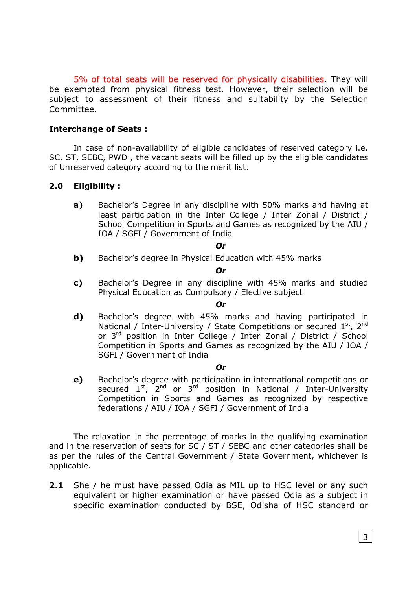5% of total seats will be reserved for physically disabilities. They will be exempted from physical fitness test. However, their selection will be subject to assessment of their fitness and suitability by the Selection Committee.

#### Interchange of Seats :

In case of non-availability of eligible candidates of reserved category i.e. SC, ST, SEBC, PWD , the vacant seats will be filled up by the eligible candidates of Unreserved category according to the merit list.

#### 2.0 Eligibility :

a) Bachelor's Degree in any discipline with 50% marks and having at least participation in the Inter College / Inter Zonal / District / School Competition in Sports and Games as recognized by the AIU / IOA / SGFI / Government of India

#### Or

**b)** Bachelor's degree in Physical Education with 45% marks

#### Or

c) Bachelor's Degree in any discipline with 45% marks and studied Physical Education as Compulsory / Elective subject

#### Or

d) Bachelor's degree with 45% marks and having participated in National / Inter-University / State Competitions or secured  $1^{st}$ ,  $2^{nd}$ or 3rd position in Inter College / Inter Zonal / District / School Competition in Sports and Games as recognized by the AIU / IOA / SGFI / Government of India

#### Or

e) Bachelor's degree with participation in international competitions or secured 1<sup>st</sup>, 2<sup>nd</sup> or 3<sup>rd</sup> position in National / Inter-University Competition in Sports and Games as recognized by respective federations / AIU / IOA / SGFI / Government of India

The relaxation in the percentage of marks in the qualifying examination and in the reservation of seats for SC / ST / SEBC and other categories shall be as per the rules of the Central Government / State Government, whichever is applicable.

**2.1** She / he must have passed Odia as MIL up to HSC level or any such equivalent or higher examination or have passed Odia as a subject in specific examination conducted by BSE, Odisha of HSC standard or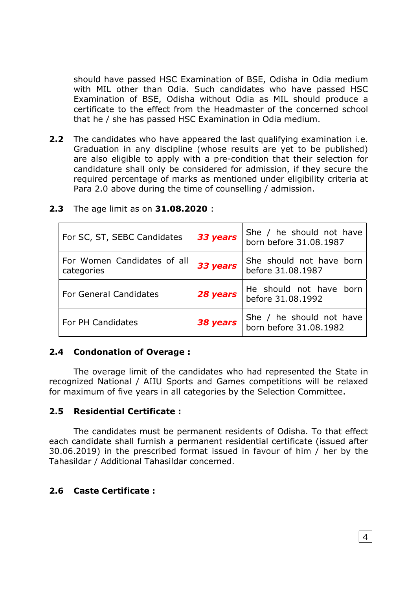should have passed HSC Examination of BSE, Odisha in Odia medium with MIL other than Odia. Such candidates who have passed HSC Examination of BSE, Odisha without Odia as MIL should produce a certificate to the effect from the Headmaster of the concerned school that he / she has passed HSC Examination in Odia medium.

2.2 The candidates who have appeared the last qualifying examination i.e. Graduation in any discipline (whose results are yet to be published) are also eligible to apply with a pre-condition that their selection for candidature shall only be considered for admission, if they secure the required percentage of marks as mentioned under eligibility criteria at Para 2.0 above during the time of counselling / admission.

| For SC, ST, SEBC Candidates               | 33 years | She / he should not have<br>born before 31.08.1987 |
|-------------------------------------------|----------|----------------------------------------------------|
| For Women Candidates of all<br>categories | 33 years | She should not have born<br>before 31.08.1987      |
| <b>For General Candidates</b>             | 28 years | He should not have born<br>before 31.08.1992       |
| <b>For PH Candidates</b>                  | 38 years | She / he should not have<br>born before 31.08.1982 |

#### 2.3 The age limit as on 31.08.2020 :

#### 2.4 Condonation of Overage :

The overage limit of the candidates who had represented the State in recognized National / AIIU Sports and Games competitions will be relaxed for maximum of five years in all categories by the Selection Committee.

#### 2.5 Residential Certificate :

The candidates must be permanent residents of Odisha. To that effect each candidate shall furnish a permanent residential certificate (issued after 30.06.2019) in the prescribed format issued in favour of him / her by the Tahasildar / Additional Tahasildar concerned.

#### 2.6 Caste Certificate :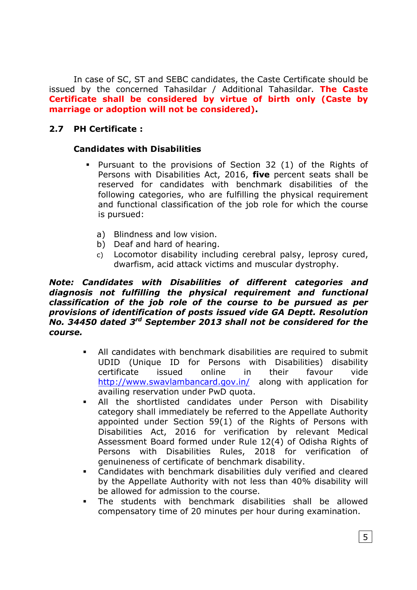In case of SC, ST and SEBC candidates, the Caste Certificate should be issued by the concerned Tahasildar / Additional Tahasildar. The Caste Certificate shall be considered by virtue of birth only (Caste by marriage or adoption will not be considered).

#### 2.7 PH Certificate :

#### Candidates with Disabilities

- Pursuant to the provisions of Section 32 (1) of the Rights of Persons with Disabilities Act, 2016, five percent seats shall be reserved for candidates with benchmark disabilities of the following categories, who are fulfilling the physical requirement and functional classification of the job role for which the course is pursued:
	- a) Blindness and low vision.
	- b) Deaf and hard of hearing.
	- c) Locomotor disability including cerebral palsy, leprosy cured, dwarfism, acid attack victims and muscular dystrophy.

#### Note: Candidates with Disabilities of different categories and diagnosis not fulfilling the physical requirement and functional classification of the job role of the course to be pursued as per provisions of identification of posts issued vide GA Deptt. Resolution No. 34450 dated 3<sup>rd</sup> September 2013 shall not be considered for the course.

- All candidates with benchmark disabilities are required to submit UDID (Unique ID for Persons with Disabilities) disability certificate issued online in their favour vide http://www.swavlambancard.gov.in/ along with application for availing reservation under PwD quota.
- All the shortlisted candidates under Person with Disability category shall immediately be referred to the Appellate Authority appointed under Section 59(1) of the Rights of Persons with Disabilities Act, 2016 for verification by relevant Medical Assessment Board formed under Rule 12(4) of Odisha Rights of Persons with Disabilities Rules, 2018 for verification of genuineness of certificate of benchmark disability.
- Candidates with benchmark disabilities duly verified and cleared by the Appellate Authority with not less than 40% disability will be allowed for admission to the course.
- The students with benchmark disabilities shall be allowed compensatory time of 20 minutes per hour during examination.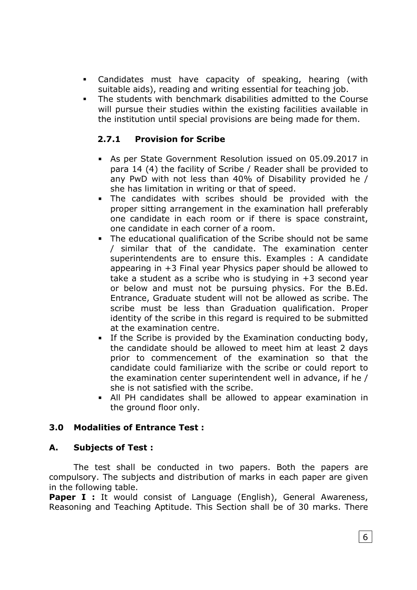- Candidates must have capacity of speaking, hearing (with suitable aids), reading and writing essential for teaching job.
- The students with benchmark disabilities admitted to the Course will pursue their studies within the existing facilities available in the institution until special provisions are being made for them.

#### 2.7.1 Provision for Scribe

- As per State Government Resolution issued on 05.09.2017 in para 14 (4) the facility of Scribe / Reader shall be provided to any PwD with not less than 40% of Disability provided he / she has limitation in writing or that of speed.
- The candidates with scribes should be provided with the proper sitting arrangement in the examination hall preferably one candidate in each room or if there is space constraint, one candidate in each corner of a room.
- The educational qualification of the Scribe should not be same / similar that of the candidate. The examination center superintendents are to ensure this. Examples : A candidate appearing in +3 Final year Physics paper should be allowed to take a student as a scribe who is studying in +3 second year or below and must not be pursuing physics. For the B.Ed. Entrance, Graduate student will not be allowed as scribe. The scribe must be less than Graduation qualification. Proper identity of the scribe in this regard is required to be submitted at the examination centre.
- **If the Scribe is provided by the Examination conducting body,** the candidate should be allowed to meet him at least 2 days prior to commencement of the examination so that the candidate could familiarize with the scribe or could report to the examination center superintendent well in advance, if he / she is not satisfied with the scribe.
- All PH candidates shall be allowed to appear examination in the ground floor only.

#### 3.0 Modalities of Entrance Test :

#### A. Subjects of Test :

The test shall be conducted in two papers. Both the papers are compulsory. The subjects and distribution of marks in each paper are given in the following table.

Paper I : It would consist of Language (English), General Awareness, Reasoning and Teaching Aptitude. This Section shall be of 30 marks. There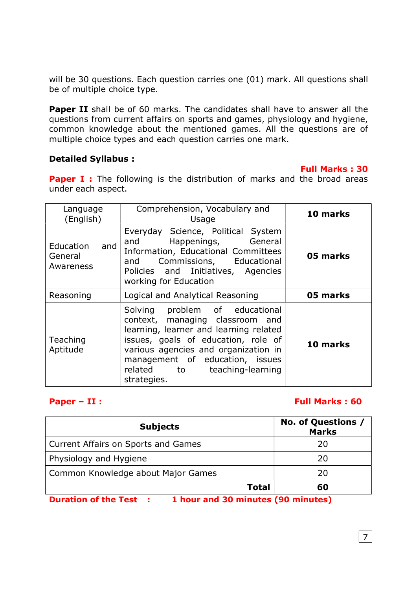will be 30 questions. Each question carries one (01) mark. All questions shall be of multiple choice type.

Paper II shall be of 60 marks. The candidates shall have to answer all the questions from current affairs on sports and games, physiology and hygiene, common knowledge about the mentioned games. All the questions are of multiple choice types and each question carries one mark.

#### Detailed Syllabus :

#### Full Marks : 30

**Paper I** : The following is the distribution of marks and the broad areas under each aspect.

| Language<br>(English)                    | Comprehension, Vocabulary and<br>Usage                                                                                                                                                                                                                                       | 10 marks |
|------------------------------------------|------------------------------------------------------------------------------------------------------------------------------------------------------------------------------------------------------------------------------------------------------------------------------|----------|
| Education<br>and<br>General<br>Awareness | Everyday Science, Political System<br>Happenings, General<br>and<br>Information, Educational Committees<br>Commissions, Educational<br>and<br>Policies and Initiatives, Agencies<br>working for Education                                                                    | 05 marks |
| Reasoning                                | Logical and Analytical Reasoning                                                                                                                                                                                                                                             | 05 marks |
| Teaching<br>Aptitude                     | Solving problem of educational<br>context, managing classroom and<br>learning, learner and learning related<br>issues, goals of education, role of<br>various agencies and organization in<br>management of education, issues<br>related to teaching-learning<br>strategies. | 10 marks |

#### Paper – II : Full Marks : 60

| <b>Subjects</b>                                                     | No. of Questions /<br><b>Marks</b> |
|---------------------------------------------------------------------|------------------------------------|
| Current Affairs on Sports and Games                                 | 20                                 |
| Physiology and Hygiene                                              | 20                                 |
| Common Knowledge about Major Games                                  | 20                                 |
| <b>Total</b>                                                        | 60                                 |
| 1 hour and 30 minutes (90 minutes)<br><b>Duration of the Test :</b> |                                    |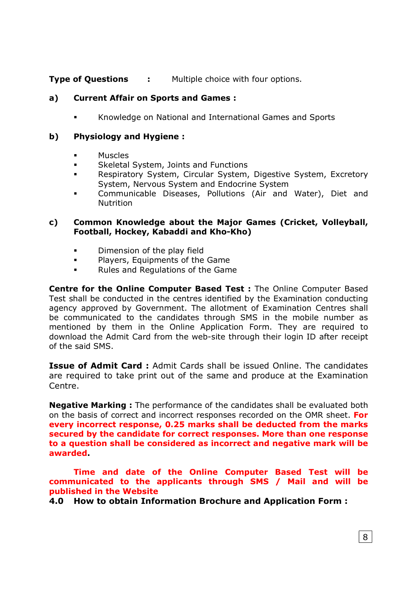**Type of Questions : Multiple choice with four options.** 

#### a) Current Affair on Sports and Games :

**K**nowledge on National and International Games and Sports

#### b) Physiology and Hygiene :

- Muscles
- **Skeletal System, Joints and Functions**
- Respiratory System, Circular System, Digestive System, Excretory System, Nervous System and Endocrine System
- Communicable Diseases, Pollutions (Air and Water), Diet and **Nutrition**

#### c) Common Knowledge about the Major Games (Cricket, Volleyball, Football, Hockey, Kabaddi and Kho-Kho)

- **Dimension of the play field**
- **Players, Equipments of the Game**
- **Rules and Regulations of the Game**

Centre for the Online Computer Based Test : The Online Computer Based Test shall be conducted in the centres identified by the Examination conducting agency approved by Government. The allotment of Examination Centres shall be communicated to the candidates through SMS in the mobile number as mentioned by them in the Online Application Form. They are required to download the Admit Card from the web-site through their login ID after receipt of the said SMS.

Issue of Admit Card : Admit Cards shall be issued Online. The candidates are required to take print out of the same and produce at the Examination Centre.

Negative Marking : The performance of the candidates shall be evaluated both on the basis of correct and incorrect responses recorded on the OMR sheet. For every incorrect response, 0.25 marks shall be deducted from the marks secured by the candidate for correct responses. More than one response to a question shall be considered as incorrect and negative mark will be awarded.

Time and date of the Online Computer Based Test will be communicated to the applicants through SMS / Mail and will be published in the Website

4.0 How to obtain Information Brochure and Application Form :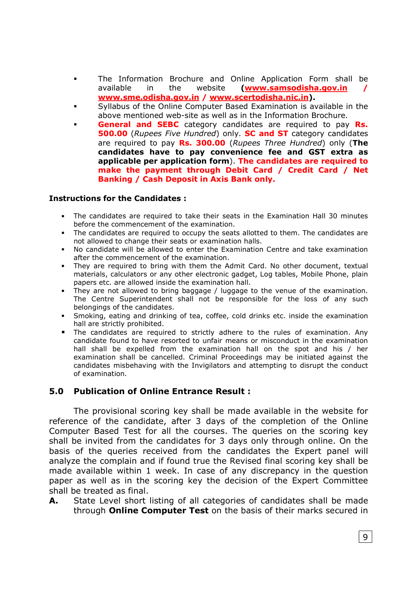- The Information Brochure and Online Application Form shall be available in the website (www.samsodisha.gov.in www.sme.odisha.gov.in / www.scertodisha.nic.in).
- Syllabus of the Online Computer Based Examination is available in the above mentioned web-site as well as in the Information Brochure.
- General and SEBC category candidates are required to pay Rs. 500.00 (Rupees Five Hundred) only. SC and ST category candidates are required to pay Rs. 300.00 (Rupees Three Hundred) only (The candidates have to pay convenience fee and GST extra as applicable per application form). The candidates are required to make the payment through Debit Card / Credit Card / Net Banking / Cash Deposit in Axis Bank only.

#### Instructions for the Candidates :

- The candidates are required to take their seats in the Examination Hall 30 minutes before the commencement of the examination.
- The candidates are required to occupy the seats allotted to them. The candidates are not allowed to change their seats or examination halls.
- No candidate will be allowed to enter the Examination Centre and take examination after the commencement of the examination.
- They are required to bring with them the Admit Card. No other document, textual materials, calculators or any other electronic gadget, Log tables, Mobile Phone, plain papers etc. are allowed inside the examination hall.
- They are not allowed to bring baggage / luggage to the venue of the examination. The Centre Superintendent shall not be responsible for the loss of any such belongings of the candidates.
- Smoking, eating and drinking of tea, coffee, cold drinks etc. inside the examination hall are strictly prohibited.
- The candidates are required to strictly adhere to the rules of examination. Any candidate found to have resorted to unfair means or misconduct in the examination hall shall be expelled from the examination hall on the spot and his / her examination shall be cancelled. Criminal Proceedings may be initiated against the candidates misbehaving with the Invigilators and attempting to disrupt the conduct of examination.

#### 5.0 Publication of Online Entrance Result :

The provisional scoring key shall be made available in the website for reference of the candidate, after 3 days of the completion of the Online Computer Based Test for all the courses. The queries on the scoring key shall be invited from the candidates for 3 days only through online. On the basis of the queries received from the candidates the Expert panel will analyze the complain and if found true the Revised final scoring key shall be made available within 1 week. In case of any discrepancy in the question paper as well as in the scoring key the decision of the Expert Committee shall be treated as final.

A. State Level short listing of all categories of candidates shall be made through **Online Computer Test** on the basis of their marks secured in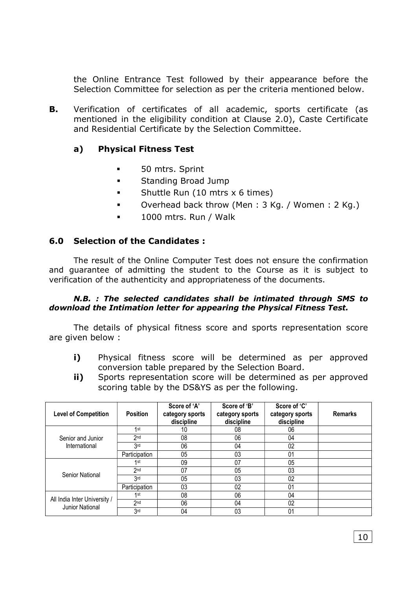the Online Entrance Test followed by their appearance before the Selection Committee for selection as per the criteria mentioned below.

**B.** Verification of certificates of all academic, sports certificate (as mentioned in the eligibility condition at Clause 2.0), Caste Certificate and Residential Certificate by the Selection Committee.

#### a) Physical Fitness Test

- **50 mtrs. Sprint**
- **Standing Broad Jump**
- **Shuttle Run (10 mtrs x 6 times)**
- Overhead back throw (Men : 3 Kg. / Women : 2 Kg.)
- **1000 mtrs. Run / Walk**

#### 6.0 Selection of the Candidates :

The result of the Online Computer Test does not ensure the confirmation and guarantee of admitting the student to the Course as it is subject to verification of the authenticity and appropriateness of the documents.

#### N.B. : The selected candidates shall be intimated through SMS to download the Intimation letter for appearing the Physical Fitness Test.

The details of physical fitness score and sports representation score are given below :

- i) Physical fitness score will be determined as per approved conversion table prepared by the Selection Board.
- ii) Sports representation score will be determined as per approved scoring table by the DS&YS as per the following.

| <b>Level of Competition</b>                     | <b>Position</b> | Score of 'A'<br>category sports<br>discipline | Score of 'B'<br>category sports<br>discipline | Score of 'C'<br>category sports<br>discipline | <b>Remarks</b> |
|-------------------------------------------------|-----------------|-----------------------------------------------|-----------------------------------------------|-----------------------------------------------|----------------|
|                                                 | 1st             | 10                                            | 08                                            | 06                                            |                |
| Senior and Junior                               | 2 <sub>nd</sub> | 08                                            | 06                                            | 04                                            |                |
| International                                   | 3rd             | 06                                            | 04                                            | 02                                            |                |
|                                                 | Participation   | 05                                            | 03                                            | 01                                            |                |
|                                                 | 1 <sub>st</sub> | 09                                            | 07                                            | 05                                            |                |
| Senior National                                 | 2 <sub>nd</sub> | 07                                            | 05                                            | 03                                            |                |
|                                                 | 3rd             | 05                                            | 03                                            | 02                                            |                |
|                                                 | Participation   | 03                                            | 02                                            | 01                                            |                |
| All India Inter University /<br>Junior National | 1st             | 08                                            | 06                                            | 04                                            |                |
|                                                 | 2 <sub>nd</sub> | 06                                            | 04                                            | 02                                            |                |
|                                                 | 3 <sub>rd</sub> | 04                                            | 03                                            | 01                                            |                |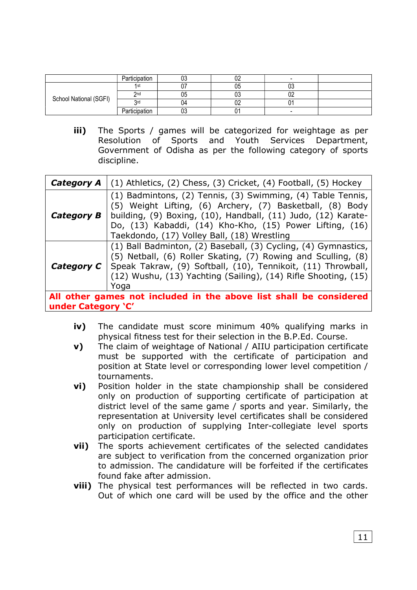|                        | Participation |     | ୰∠       |    |  |
|------------------------|---------------|-----|----------|----|--|
|                        | 1st           |     | ს5       | 03 |  |
| School National (SGFI) | 2nd           | υυ  | UĴ       | 02 |  |
|                        | 2rd           | 114 | ∩∩<br>UZ |    |  |
|                        | Participation | υυ  |          |    |  |

iii) The Sports / games will be categorized for weightage as per Resolution of Sports and Youth Services Department, Government of Odisha as per the following category of sports discipline.

| Category A                                                                                                                                                                                                                                                                                    | $(1)$ Athletics, $(2)$ Chess, $(3)$ Cricket, $(4)$ Football, $(5)$ Hockey                                                                                                                                                                                                                            |  |  |
|-----------------------------------------------------------------------------------------------------------------------------------------------------------------------------------------------------------------------------------------------------------------------------------------------|------------------------------------------------------------------------------------------------------------------------------------------------------------------------------------------------------------------------------------------------------------------------------------------------------|--|--|
| <b>Category B</b>                                                                                                                                                                                                                                                                             | (1) Badmintons, (2) Tennis, (3) Swimming, (4) Table Tennis,<br>(5) Weight Lifting, (6) Archery, (7) Basketball, (8) Body<br>building, (9) Boxing, (10), Handball, (11) Judo, (12) Karate-<br>Do, (13) Kabaddi, (14) Kho-Kho, (15) Power Lifting, (16)<br>Taekdondo, (17) Volley Ball, (18) Wrestling |  |  |
| (1) Ball Badminton, (2) Baseball, (3) Cycling, (4) Gymnastics,<br>(5) Netball, (6) Roller Skating, (7) Rowing and Sculling, (8)<br><b>Category C</b>   Speak Takraw, (9) Softball, (10), Tennikoit, (11) Throwball,<br>(12) Wushu, (13) Yachting (Sailing), (14) Rifle Shooting, (15)<br>Yoga |                                                                                                                                                                                                                                                                                                      |  |  |
| All other games not included in the above list shall be considered                                                                                                                                                                                                                            |                                                                                                                                                                                                                                                                                                      |  |  |
| under Category 'C'                                                                                                                                                                                                                                                                            |                                                                                                                                                                                                                                                                                                      |  |  |

- iv) The candidate must score minimum 40% qualifying marks in physical fitness test for their selection in the B.P.Ed. Course.
- v) The claim of weightage of National / AIIU participation certificate must be supported with the certificate of participation and position at State level or corresponding lower level competition / tournaments.
- vi) Position holder in the state championship shall be considered only on production of supporting certificate of participation at district level of the same game / sports and year. Similarly, the representation at University level certificates shall be considered only on production of supplying Inter-collegiate level sports participation certificate.
- vii) The sports achievement certificates of the selected candidates are subject to verification from the concerned organization prior to admission. The candidature will be forfeited if the certificates found fake after admission.
- **viii)** The physical test performances will be reflected in two cards. Out of which one card will be used by the office and the other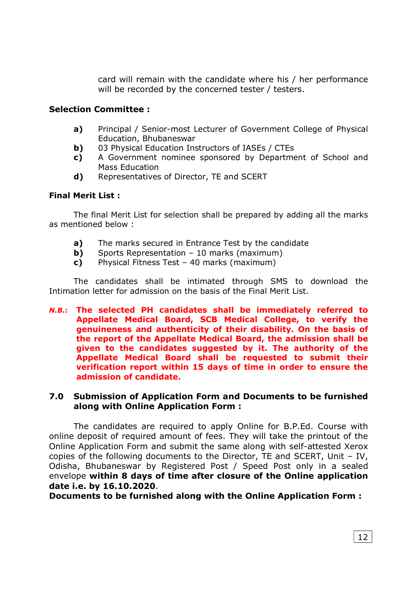card will remain with the candidate where his / her performance will be recorded by the concerned tester / testers.

#### Selection Committee :

- a) Principal / Senior-most Lecturer of Government College of Physical Education, Bhubaneswar
- **b)** 03 Physical Education Instructors of IASEs / CTEs
- c) A Government nominee sponsored by Department of School and Mass Education
- d) Representatives of Director, TE and SCERT

#### Final Merit List :

The final Merit List for selection shall be prepared by adding all the marks as mentioned below :

- a) The marks secured in Entrance Test by the candidate
- **b)** Sports Representation  $-10$  marks (maximum)
- c) Physical Fitness Test 40 marks (maximum)

The candidates shall be intimated through SMS to download the Intimation letter for admission on the basis of the Final Merit List.

N.B.: The selected PH candidates shall be immediately referred to Appellate Medical Board, SCB Medical College, to verify the genuineness and authenticity of their disability. On the basis of the report of the Appellate Medical Board, the admission shall be given to the candidates suggested by it. The authority of the Appellate Medical Board shall be requested to submit their verification report within 15 days of time in order to ensure the admission of candidate.

#### 7.0 Submission of Application Form and Documents to be furnished along with Online Application Form :

The candidates are required to apply Online for B.P.Ed. Course with online deposit of required amount of fees. They will take the printout of the Online Application Form and submit the same along with self-attested Xerox copies of the following documents to the Director, TE and SCERT, Unit – IV, Odisha, Bhubaneswar by Registered Post / Speed Post only in a sealed envelope within 8 days of time after closure of the Online application date i.e. by 16.10.2020.

Documents to be furnished along with the Online Application Form :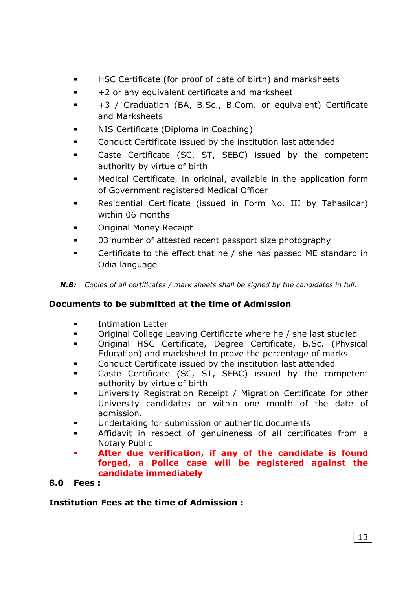- HSC Certificate (for proof of date of birth) and marksheets
- +2 or any equivalent certificate and marksheet
- +3 / Graduation (BA, B.Sc., B.Com. or equivalent) Certificate and Marksheets
- **NIS Certificate (Diploma in Coaching)**
- Conduct Certificate issued by the institution last attended
- Caste Certificate (SC, ST, SEBC) issued by the competent authority by virtue of birth
- Medical Certificate, in original, available in the application form of Government registered Medical Officer
- **Residential Certificate (issued in Form No. III by Tahasildar)** within 06 months
- **EXECUTE:** Original Money Receipt
- 03 number of attested recent passport size photography
- **EXECO** Certificate to the effect that he / she has passed ME standard in Odia language

N.B: Copies of all certificates / mark sheets shall be signed by the candidates in full.

#### Documents to be submitted at the time of Admission

- **EXECUTE:** Intimation Letter
- Original College Leaving Certificate where he / she last studied
- Original HSC Certificate, Degree Certificate, B.Sc. (Physical Education) and marksheet to prove the percentage of marks
- Conduct Certificate issued by the institution last attended
- Caste Certificate (SC, ST, SEBC) issued by the competent authority by virtue of birth
- University Registration Receipt / Migration Certificate for other University candidates or within one month of the date of admission.
- **Undertaking for submission of authentic documents**
- Affidavit in respect of genuineness of all certificates from a Notary Public
- After due verification, if any of the candidate is found forged, a Police case will be registered against the candidate immediately

#### 8.0 Fees :

#### Institution Fees at the time of Admission :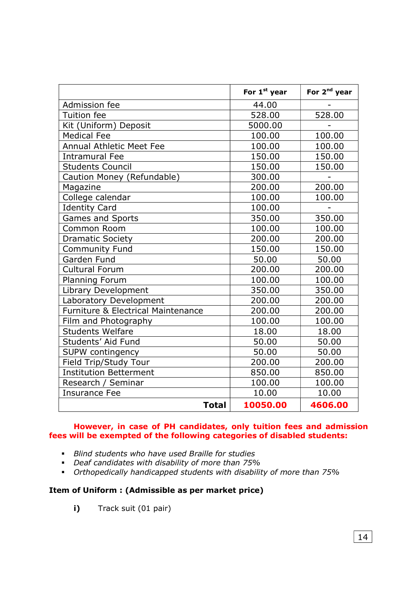|                                               | For 1 <sup>st</sup> year | For 2 <sup>nd</sup> year |
|-----------------------------------------------|--------------------------|--------------------------|
| Admission fee                                 | 44.00                    |                          |
| <b>Tuition</b> fee                            | 528.00                   | 528.00                   |
| Kit (Uniform) Deposit                         | 5000.00                  |                          |
| <b>Medical Fee</b>                            | 100.00                   | 100.00                   |
| <b>Annual Athletic Meet Fee</b>               | 100.00                   | 100.00                   |
| <b>Intramural Fee</b>                         | 150.00                   | 150.00                   |
| <b>Students Council</b>                       | 150.00                   | 150.00                   |
| Caution Money (Refundable)                    | 300.00                   |                          |
| Magazine                                      | 200.00                   | 200.00                   |
| College calendar                              | 100.00                   | 100.00                   |
| <b>Identity Card</b>                          | 100.00                   |                          |
| Games and Sports                              | 350.00                   | 350.00                   |
| <b>Common Room</b>                            | 100.00                   | 100.00                   |
| <b>Dramatic Society</b>                       | 200.00                   | 200.00                   |
| <b>Community Fund</b>                         | 150.00                   | 150.00                   |
| Garden Fund                                   | 50.00                    | 50.00                    |
| <b>Cultural Forum</b>                         | 200.00                   | 200.00                   |
| <b>Planning Forum</b>                         | 100.00                   | 100.00                   |
| <b>Library Development</b>                    | 350.00                   | 350.00                   |
| Laboratory Development                        | 200.00                   | 200.00                   |
| <b>Furniture &amp; Electrical Maintenance</b> | 200.00                   | 200.00                   |
| Film and Photography                          | 100.00                   | 100.00                   |
| <b>Students Welfare</b>                       | 18.00                    | 18.00                    |
| Students' Aid Fund                            | 50.00                    | 50.00                    |
| <b>SUPW contingency</b>                       | 50.00                    | 50.00                    |
| Field Trip/Study Tour                         | 200.00                   | 200.00                   |
| <b>Institution Betterment</b>                 | 850.00                   | 850.00                   |
| Research / Seminar                            | 100.00                   | 100.00                   |
| <b>Insurance Fee</b>                          | 10.00                    | 10.00                    |
| <b>Total</b>                                  | 10050.00                 | 4606.00                  |

#### However, in case of PH candidates, only tuition fees and admission fees will be exempted of the following categories of disabled students:

- Blind students who have used Braille for studies
- Deaf candidates with disability of more than 75%
- Orthopedically handicapped students with disability of more than 75%

#### Item of Uniform : (Admissible as per market price)

i) Track suit (01 pair)